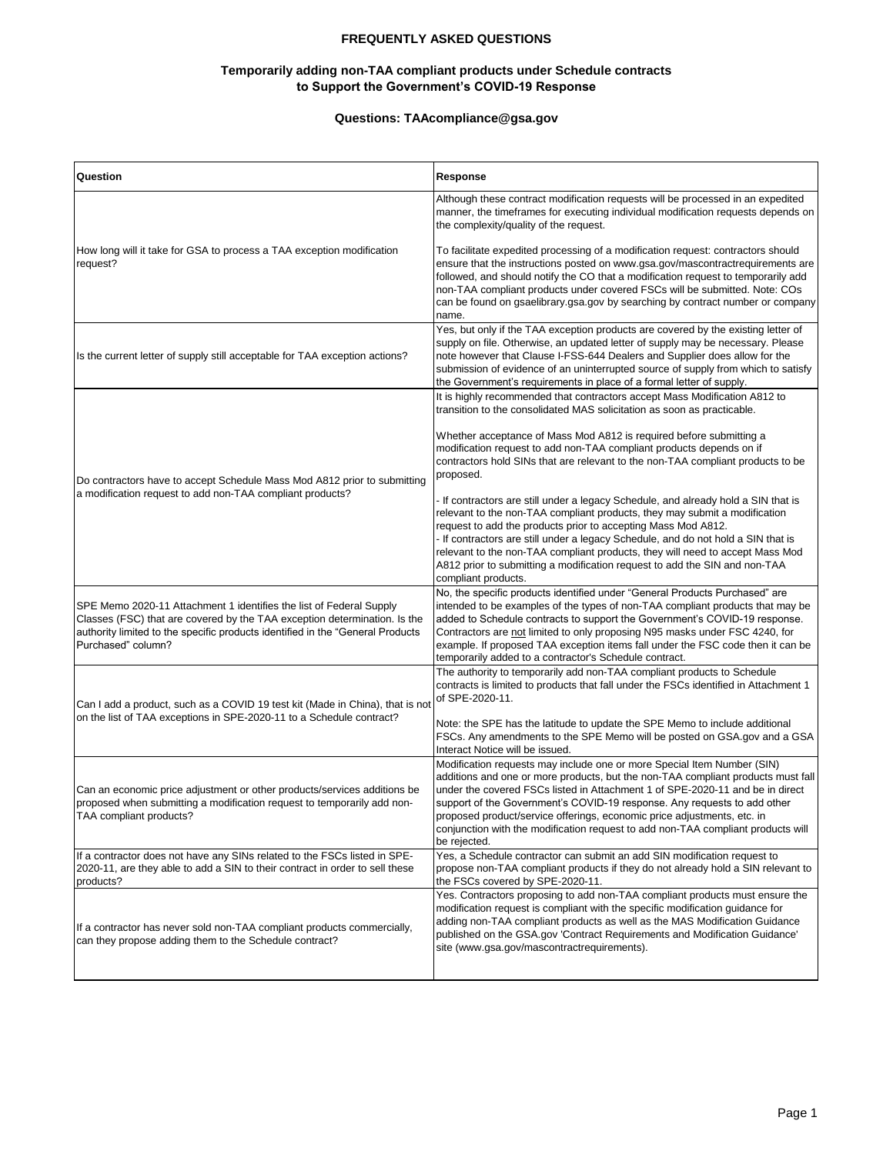## **FREQUENTLY ASKED QUESTIONS**

# **Temporarily adding non-TAA compliant products under Schedule contracts to Support the Government's COVID-19 Response**

# **Questions: TAAcompliance@gsa.gov**

| Question                                                                                                                                                                                                                                                 | Response                                                                                                                                                                                                                                                                                                                                                                                                                                                                                                     |
|----------------------------------------------------------------------------------------------------------------------------------------------------------------------------------------------------------------------------------------------------------|--------------------------------------------------------------------------------------------------------------------------------------------------------------------------------------------------------------------------------------------------------------------------------------------------------------------------------------------------------------------------------------------------------------------------------------------------------------------------------------------------------------|
| How long will it take for GSA to process a TAA exception modification<br>request?                                                                                                                                                                        | Although these contract modification requests will be processed in an expedited<br>manner, the timeframes for executing individual modification requests depends on<br>the complexity/quality of the request.                                                                                                                                                                                                                                                                                                |
|                                                                                                                                                                                                                                                          | To facilitate expedited processing of a modification request: contractors should<br>ensure that the instructions posted on www.gsa.gov/mascontractrequirements are<br>followed, and should notify the CO that a modification request to temporarily add<br>non-TAA compliant products under covered FSCs will be submitted. Note: COs<br>can be found on gsaelibrary gsa.gov by searching by contract number or company<br>name.                                                                             |
| Is the current letter of supply still acceptable for TAA exception actions?                                                                                                                                                                              | Yes, but only if the TAA exception products are covered by the existing letter of<br>supply on file. Otherwise, an updated letter of supply may be necessary. Please<br>note however that Clause I-FSS-644 Dealers and Supplier does allow for the<br>submission of evidence of an uninterrupted source of supply from which to satisfy<br>the Government's requirements in place of a formal letter of supply.                                                                                              |
| Do contractors have to accept Schedule Mass Mod A812 prior to submitting<br>a modification request to add non-TAA compliant products?                                                                                                                    | It is highly recommended that contractors accept Mass Modification A812 to<br>transition to the consolidated MAS solicitation as soon as practicable.                                                                                                                                                                                                                                                                                                                                                        |
|                                                                                                                                                                                                                                                          | Whether acceptance of Mass Mod A812 is required before submitting a<br>modification request to add non-TAA compliant products depends on if<br>contractors hold SINs that are relevant to the non-TAA compliant products to be<br>proposed.                                                                                                                                                                                                                                                                  |
|                                                                                                                                                                                                                                                          | - If contractors are still under a legacy Schedule, and already hold a SIN that is<br>relevant to the non-TAA compliant products, they may submit a modification<br>request to add the products prior to accepting Mass Mod A812.<br>- If contractors are still under a legacy Schedule, and do not hold a SIN that is<br>relevant to the non-TAA compliant products, they will need to accept Mass Mod<br>A812 prior to submitting a modification request to add the SIN and non-TAA<br>compliant products. |
| SPE Memo 2020-11 Attachment 1 identifies the list of Federal Supply<br>Classes (FSC) that are covered by the TAA exception determination. Is the<br>authority limited to the specific products identified in the "General Products<br>Purchased" column? | No, the specific products identified under "General Products Purchased" are<br>intended to be examples of the types of non-TAA compliant products that may be<br>added to Schedule contracts to support the Government's COVID-19 response.<br>Contractors are not limited to only proposing N95 masks under FSC 4240, for<br>example. If proposed TAA exception items fall under the FSC code then it can be<br>temporarily added to a contractor's Schedule contract.                                      |
| Can I add a product, such as a COVID 19 test kit (Made in China), that is not<br>on the list of TAA exceptions in SPE-2020-11 to a Schedule contract?                                                                                                    | The authority to temporarily add non-TAA compliant products to Schedule<br>contracts is limited to products that fall under the FSCs identified in Attachment 1<br>of SPE-2020-11.                                                                                                                                                                                                                                                                                                                           |
|                                                                                                                                                                                                                                                          | Note: the SPE has the latitude to update the SPE Memo to include additional<br>FSCs. Any amendments to the SPE Memo will be posted on GSA.gov and a GSA<br>Interact Notice will be issued.                                                                                                                                                                                                                                                                                                                   |
| Can an economic price adjustment or other products/services additions be<br>proposed when submitting a modification request to temporarily add non-<br>TAA compliant products?                                                                           | Modification requests may include one or more Special Item Number (SIN)<br>additions and one or more products, but the non-TAA compliant products must fall<br>under the covered FSCs listed in Attachment 1 of SPE-2020-11 and be in direct<br>support of the Government's COVID-19 response. Any requests to add other<br>proposed product/service offerings, economic price adjustments, etc. in<br>conjunction with the modification request to add non-TAA compliant products will<br>be rejected.      |
| If a contractor does not have any SINs related to the FSCs listed in SPE-<br>2020-11, are they able to add a SIN to their contract in order to sell these<br>products?                                                                                   | Yes, a Schedule contractor can submit an add SIN modification request to<br>propose non-TAA compliant products if they do not already hold a SIN relevant to<br>the FSCs covered by SPE-2020-11.                                                                                                                                                                                                                                                                                                             |
| If a contractor has never sold non-TAA compliant products commercially,<br>can they propose adding them to the Schedule contract?                                                                                                                        | Yes. Contractors proposing to add non-TAA compliant products must ensure the<br>modification request is compliant with the specific modification quidance for<br>adding non-TAA compliant products as well as the MAS Modification Guidance<br>published on the GSA.gov 'Contract Requirements and Modification Guidance'<br>site (www.gsa.gov/mascontractrequirements).                                                                                                                                     |